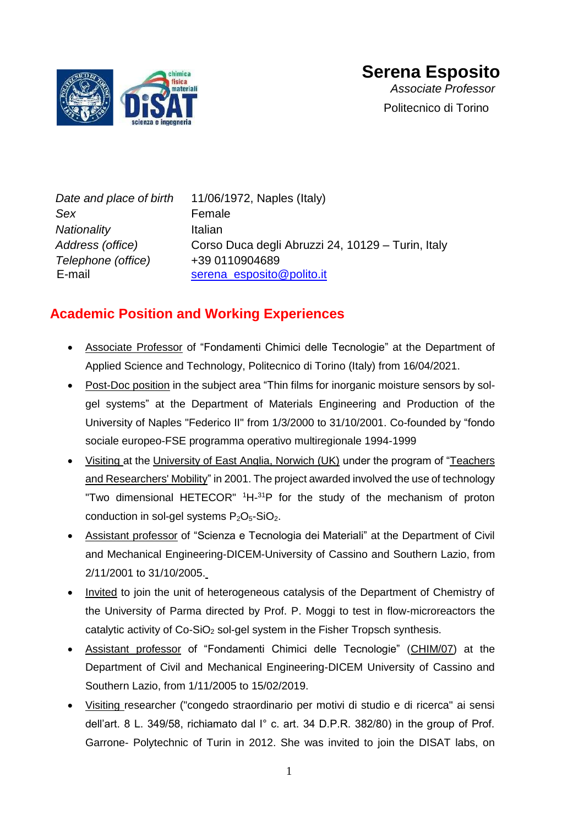

# **Serena Esposito**

*Associate Professor* Politecnico di Torino

*Date and place of birth* 11/06/1972, Naples (Italy) Sex **Female** *Nationality* Italian *Address (office)* Corso Duca degli Abruzzi 24, 10129 – Turin, Italy *Telephone (office)* +39 0110904689 E-mail [serena\\_esposito@polito.it](mailto:serena_esposito@polito.it)

### **Academic Position and Working Experiences**

- Associate Professor of "Fondamenti Chimici delle Tecnologie" at the Department of Applied Science and Technology, Politecnico di Torino (Italy) from 16/04/2021.
- Post-Doc position in the subject area "Thin films for inorganic moisture sensors by solgel systems" at the Department of Materials Engineering and Production of the University of Naples "Federico II" from 1/3/2000 to 31/10/2001. Co-founded by "fondo sociale europeo-FSE programma operativo multiregionale 1994-1999
- Visiting at the University of East Anglia, Norwich (UK) under the program of "Teachers and Researchers' Mobility" in 2001. The project awarded involved the use of technology "Two dimensional HETECOR" <sup>1</sup>H-<sup>31</sup>P for the study of the mechanism of proton conduction in sol-gel systems  $P_2O_5-SiO_2$ .
- Assistant professor of "Scienza e Tecnologia dei Materiali" at the Department of Civil and Mechanical Engineering-DICEM-University of Cassino and Southern Lazio, from 2/11/2001 to 31/10/2005.
- Invited to join the unit of heterogeneous catalysis of the Department of Chemistry of the University of Parma directed by Prof. P. Moggi to test in flow-microreactors the catalytic activity of  $Co-SiO<sub>2</sub>$  sol-gel system in the Fisher Tropsch synthesis.
- Assistant professor of "Fondamenti Chimici delle Tecnologie" (CHIM/07) at the Department of Civil and Mechanical Engineering-DICEM University of Cassino and Southern Lazio, from 1/11/2005 to 15/02/2019.
- Visiting researcher ("congedo straordinario per motivi di studio e di ricerca" ai sensi dell'art. 8 L. 349/58, richiamato dal I° c. art. 34 D.P.R. 382/80) in the group of Prof. Garrone- Polytechnic of Turin in 2012. She was invited to join the DISAT labs, on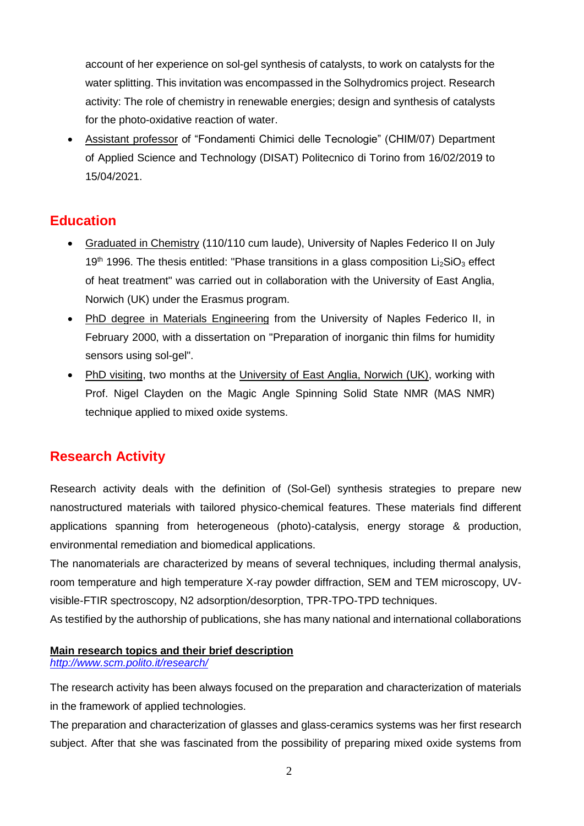account of her experience on sol-gel synthesis of catalysts, to work on catalysts for the water splitting. This invitation was encompassed in the Solhydromics project. Research activity: The role of chemistry in renewable energies; design and synthesis of catalysts for the photo-oxidative reaction of water.

• Assistant professor of "Fondamenti Chimici delle Tecnologie" (CHIM/07) Department of Applied Science and Technology (DISAT) Politecnico di Torino from 16/02/2019 to 15/04/2021.

### **Education**

- Graduated in Chemistry (110/110 cum laude), University of Naples Federico II on July 19<sup>th</sup> 1996. The thesis entitled: "Phase transitions in a glass composition  $Li_2SiO_3$  effect of heat treatment" was carried out in collaboration with the University of East Anglia, Norwich (UK) under the Erasmus program.
- PhD degree in Materials Engineering from the University of Naples Federico II, in February 2000, with a dissertation on "Preparation of inorganic thin films for humidity sensors using sol-gel".
- PhD visiting, two months at the University of East Anglia, Norwich (UK), working with Prof. Nigel Clayden on the Magic Angle Spinning Solid State NMR (MAS NMR) technique applied to mixed oxide systems.

### **Research Activity**

Research activity deals with the definition of (Sol-Gel) synthesis strategies to prepare new nanostructured materials with tailored physico-chemical features. These materials find different applications spanning from heterogeneous (photo)-catalysis, energy storage & production, environmental remediation and biomedical applications.

The nanomaterials are characterized by means of several techniques, including thermal analysis, room temperature and high temperature X-ray powder diffraction, SEM and TEM microscopy, UVvisible-FTIR spectroscopy, N2 adsorption/desorption, TPR-TPO-TPD techniques.

As testified by the authorship of publications, she has many national and international collaborations

### **Main research topics and their brief description**

*<http://www.scm.polito.it/research/>*

The research activity has been always focused on the preparation and characterization of materials in the framework of applied technologies.

The preparation and characterization of glasses and glass-ceramics systems was her first research subject. After that she was fascinated from the possibility of preparing mixed oxide systems from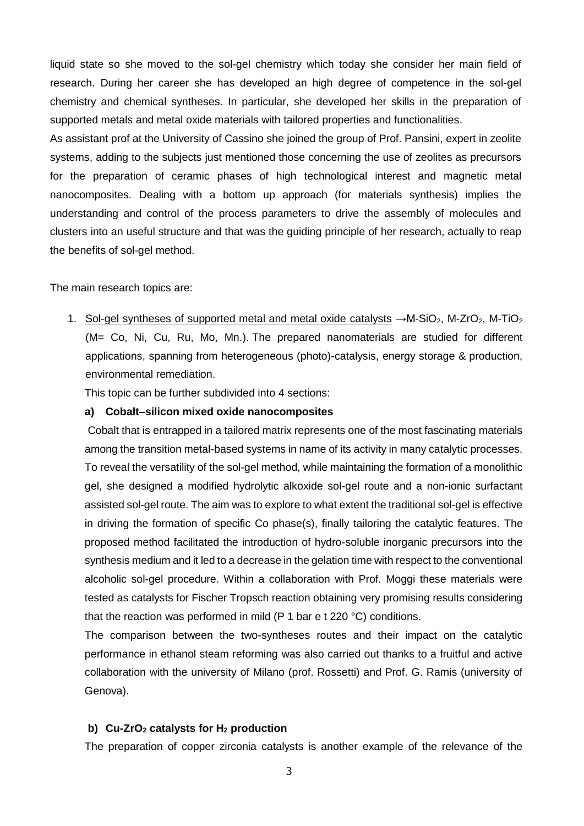liquid state so she moved to the sol-gel chemistry which today she consider her main field of research. During her career she has developed an high degree of competence in the sol-gel chemistry and chemical syntheses. In particular, she developed her skills in the preparation of supported metals and metal oxide materials with tailored properties and functionalities.

As assistant prof at the University of Cassino she joined the group of Prof. Pansini, expert in zeolite systems, adding to the subjects just mentioned those concerning the use of zeolites as precursors for the preparation of ceramic phases of high technological interest and magnetic metal nanocomposites. Dealing with a bottom up approach (for materials synthesis) implies the understanding and control of the process parameters to drive the assembly of molecules and clusters into an useful structure and that was the guiding principle of her research, actually to reap the benefits of sol-gel method.

### The main research topics are:

1. Sol-gel syntheses of supported metal and metal oxide catalysts  $\rightarrow$ M-SiO<sub>2</sub>, M-ZrO<sub>2</sub>, M-TiO<sub>2</sub> (M= Co, Ni, Cu, Ru, Mo, Mn.). The prepared nanomaterials are studied for different applications, spanning from heterogeneous (photo)-catalysis, energy storage & production, environmental remediation.

This topic can be further subdivided into 4 sections:

### **a) Cobalt–silicon mixed oxide nanocomposites**

Cobalt that is entrapped in a tailored matrix represents one of the most fascinating materials among the transition metal-based systems in name of its activity in many catalytic processes. To reveal the versatility of the sol-gel method, while maintaining the formation of a monolithic gel, she designed a modified hydrolytic alkoxide sol-gel route and a non-ionic surfactant assisted sol-gel route. The aim was to explore to what extent the traditional sol-gel is effective in driving the formation of specific Co phase(s), finally tailoring the catalytic features. The proposed method facilitated the introduction of hydro-soluble inorganic precursors into the synthesis medium and it led to a decrease in the gelation time with respect to the conventional alcoholic sol-gel procedure. Within a collaboration with Prof. Moggi these materials were tested as catalysts for Fischer Tropsch reaction obtaining very promising results considering that the reaction was performed in mild (P 1 bar e t 220 °C) conditions.

The comparison between the two-syntheses routes and their impact on the catalytic performance in ethanol steam reforming was also carried out thanks to a fruitful and active collaboration with the university of Milano (prof. Rossetti) and Prof. G. Ramis (university of Genova).

#### **b) Cu-ZrO<sup>2</sup> catalysts for H<sup>2</sup> production**

The preparation of copper zirconia catalysts is another example of the relevance of the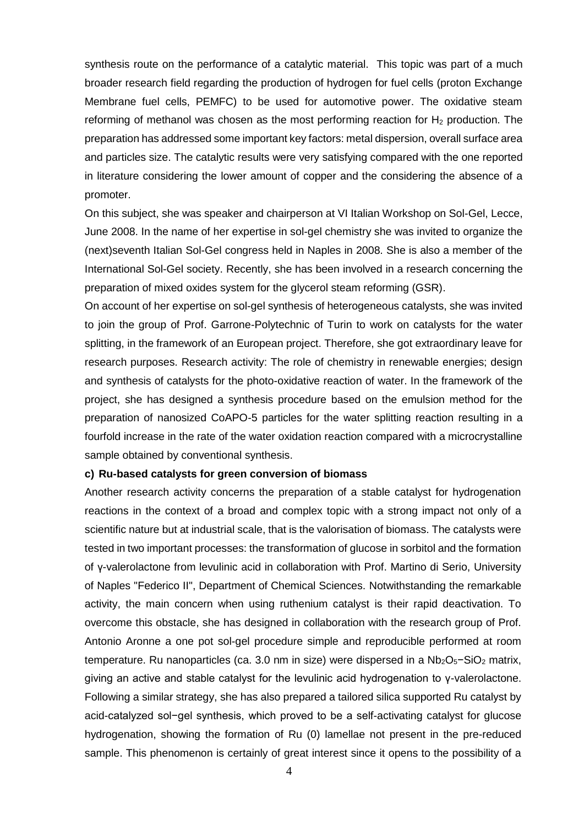synthesis route on the performance of a catalytic material. This topic was part of a much broader research field regarding the production of hydrogen for fuel cells (proton Exchange Membrane fuel cells, PEMFC) to be used for automotive power. The oxidative steam reforming of methanol was chosen as the most performing reaction for  $H_2$  production. The preparation has addressed some important key factors: metal dispersion, overall surface area and particles size. The catalytic results were very satisfying compared with the one reported in literature considering the lower amount of copper and the considering the absence of a promoter.

On this subject, she was speaker and chairperson at VI Italian Workshop on Sol-Gel, Lecce, June 2008. In the name of her expertise in sol-gel chemistry she was invited to organize the (next)seventh Italian Sol-Gel congress held in Naples in 2008. She is also a member of the International Sol-Gel society. Recently, she has been involved in a research concerning the preparation of mixed oxides system for the glycerol steam reforming (GSR).

On account of her expertise on sol-gel synthesis of heterogeneous catalysts, she was invited to join the group of Prof. Garrone-Polytechnic of Turin to work on catalysts for the water splitting, in the framework of an European project. Therefore, she got extraordinary leave for research purposes. Research activity: The role of chemistry in renewable energies; design and synthesis of catalysts for the photo-oxidative reaction of water. In the framework of the project, she has designed a synthesis procedure based on the emulsion method for the preparation of nanosized CoAPO-5 particles for the water splitting reaction resulting in a fourfold increase in the rate of the water oxidation reaction compared with a microcrystalline sample obtained by conventional synthesis.

#### **c) Ru-based catalysts for green conversion of biomass**

Another research activity concerns the preparation of a stable catalyst for hydrogenation reactions in the context of a broad and complex topic with a strong impact not only of a scientific nature but at industrial scale, that is the valorisation of biomass. The catalysts were tested in two important processes: the transformation of glucose in sorbitol and the formation of γ-valerolactone from levulinic acid in collaboration with Prof. Martino di Serio, University of Naples "Federico II", Department of Chemical Sciences. Notwithstanding the remarkable activity, the main concern when using ruthenium catalyst is their rapid deactivation. To overcome this obstacle, she has designed in collaboration with the research group of Prof. Antonio Aronne a one pot sol-gel procedure simple and reproducible performed at room temperature. Ru nanoparticles (ca. 3.0 nm in size) were dispersed in a Nb<sub>2</sub>O<sub>5</sub>−SiO<sub>2</sub> matrix, giving an active and stable catalyst for the levulinic acid hydrogenation to γ-valerolactone. Following a similar strategy, she has also prepared a tailored silica supported Ru catalyst by acid-catalyzed sol−gel synthesis, which proved to be a self-activating catalyst for glucose hydrogenation, showing the formation of Ru (0) lamellae not present in the pre-reduced sample. This phenomenon is certainly of great interest since it opens to the possibility of a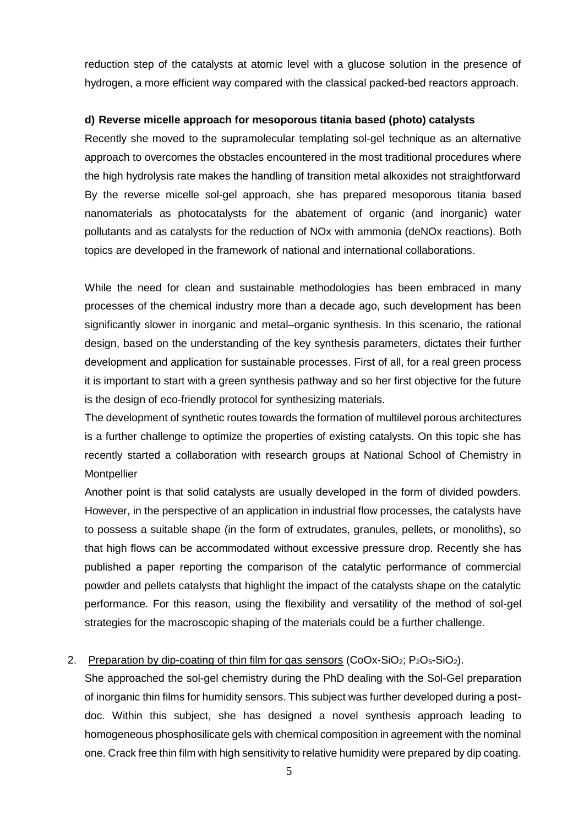reduction step of the catalysts at atomic level with a glucose solution in the presence of hydrogen, a more efficient way compared with the classical packed-bed reactors approach.

#### **d) Reverse micelle approach for mesoporous titania based (photo) catalysts**

Recently she moved to the supramolecular templating sol-gel technique as an alternative approach to overcomes the obstacles encountered in the most traditional procedures where the high hydrolysis rate makes the handling of transition metal alkoxides not straightforward By the reverse micelle sol-gel approach, she has prepared mesoporous titania based nanomaterials as photocatalysts for the abatement of organic (and inorganic) water pollutants and as catalysts for the reduction of NOx with ammonia (deNOx reactions). Both topics are developed in the framework of national and international collaborations.

While the need for clean and sustainable methodologies has been embraced in many processes of the chemical industry more than a decade ago, such development has been significantly slower in inorganic and metal–organic synthesis. In this scenario, the rational design, based on the understanding of the key synthesis parameters, dictates their further development and application for sustainable processes. First of all, for a real green process it is important to start with a green synthesis pathway and so her first objective for the future is the design of eco-friendly protocol for synthesizing materials.

The development of synthetic routes towards the formation of multilevel porous architectures is a further challenge to optimize the properties of existing catalysts. On this topic she has recently started a collaboration with research groups at National School of Chemistry in **Montpellier** 

Another point is that solid catalysts are usually developed in the form of divided powders. However, in the perspective of an application in industrial flow processes, the catalysts have to possess a suitable shape (in the form of extrudates, granules, pellets, or monoliths), so that high flows can be accommodated without excessive pressure drop. Recently she has published a paper reporting the comparison of the catalytic performance of commercial powder and pellets catalysts that highlight the impact of the catalysts shape on the catalytic performance. For this reason, using the flexibility and versatility of the method of sol-gel strategies for the macroscopic shaping of the materials could be a further challenge.

### 2. Preparation by dip-coating of thin film for gas sensors (CoOx-SiO<sub>2</sub>; P<sub>2</sub>O<sub>5</sub>-SiO<sub>2</sub>).

She approached the sol-gel chemistry during the PhD dealing with the Sol-Gel preparation of inorganic thin films for humidity sensors. This subject was further developed during a postdoc. Within this subject, she has designed a novel synthesis approach leading to homogeneous phosphosilicate gels with chemical composition in agreement with the nominal one. Crack free thin film with high sensitivity to relative humidity were prepared by dip coating.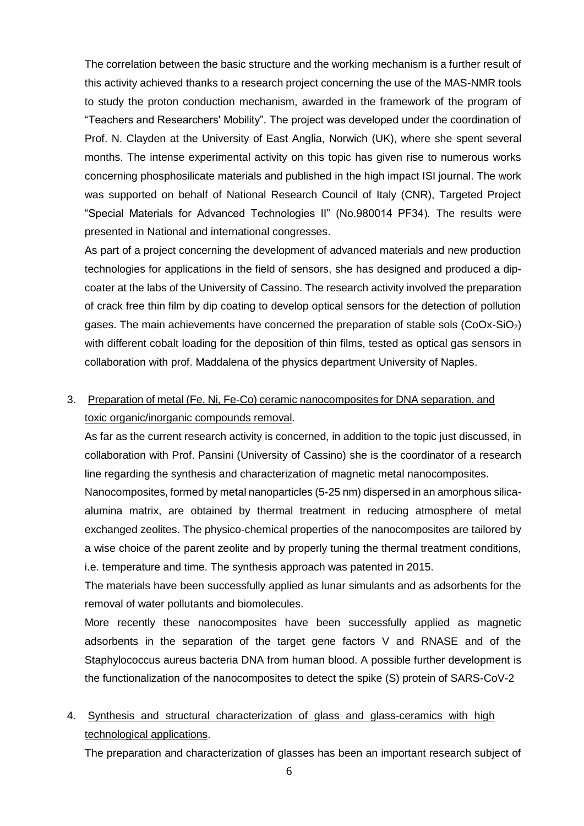The correlation between the basic structure and the working mechanism is a further result of this activity achieved thanks to a research project concerning the use of the MAS-NMR tools to study the proton conduction mechanism, awarded in the framework of the program of "Teachers and Researchers' Mobility". The project was developed under the coordination of Prof. N. Clayden at the University of East Anglia, Norwich (UK), where she spent several months. The intense experimental activity on this topic has given rise to numerous works concerning phosphosilicate materials and published in the high impact ISI journal. The work was supported on behalf of National Research Council of Italy (CNR), Targeted Project "Special Materials for Advanced Technologies II" (No.980014 PF34). The results were presented in National and international congresses.

As part of a project concerning the development of advanced materials and new production technologies for applications in the field of sensors, she has designed and produced a dipcoater at the labs of the University of Cassino. The research activity involved the preparation of crack free thin film by dip coating to develop optical sensors for the detection of pollution gases. The main achievements have concerned the preparation of stable sols  $(CoOx-SiO<sub>2</sub>)$ with different cobalt loading for the deposition of thin films, tested as optical gas sensors in collaboration with prof. Maddalena of the physics department University of Naples.

### 3. Preparation of metal (Fe, Ni, Fe-Co) ceramic nanocomposites for DNA separation, and toxic organic/inorganic compounds removal.

As far as the current research activity is concerned, in addition to the topic just discussed, in collaboration with Prof. Pansini (University of Cassino) she is the coordinator of a research line regarding the synthesis and characterization of magnetic metal nanocomposites.

Nanocomposites, formed by metal nanoparticles (5-25 nm) dispersed in an amorphous silicaalumina matrix, are obtained by thermal treatment in reducing atmosphere of metal exchanged zeolites. The physico-chemical properties of the nanocomposites are tailored by a wise choice of the parent zeolite and by properly tuning the thermal treatment conditions, i.e. temperature and time. The synthesis approach was patented in 2015.

The materials have been successfully applied as lunar simulants and as adsorbents for the removal of water pollutants and biomolecules.

More recently these nanocomposites have been successfully applied as magnetic adsorbents in the separation of the target gene factors V and RNASE and of the Staphylococcus aureus bacteria DNA from human blood. A possible further development is the functionalization of the nanocomposites to detect the spike (S) protein of SARS-CoV-2

### 4. Synthesis and structural characterization of glass and glass-ceramics with high technological applications.

The preparation and characterization of glasses has been an important research subject of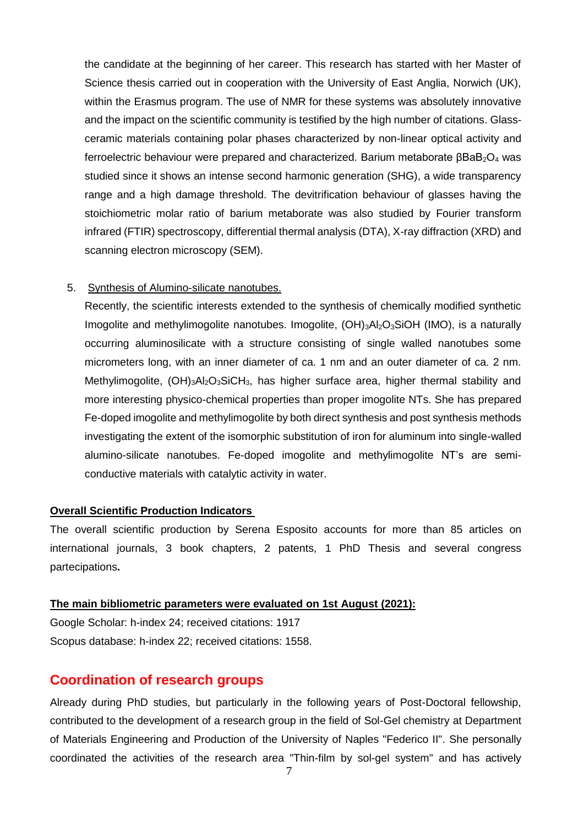the candidate at the beginning of her career. This research has started with her Master of Science thesis carried out in cooperation with the University of East Anglia, Norwich (UK), within the Erasmus program. The use of NMR for these systems was absolutely innovative and the impact on the scientific community is testified by the high number of citations. Glassceramic materials containing polar phases characterized by non-linear optical activity and ferroelectric behaviour were prepared and characterized. Barium metaborate  $βBaB<sub>2</sub>O<sub>4</sub>$  was studied since it shows an intense second harmonic generation (SHG), a wide transparency range and a high damage threshold. The devitrification behaviour of glasses having the stoichiometric molar ratio of barium metaborate was also studied by Fourier transform infrared (FTIR) spectroscopy, differential thermal analysis (DTA), X-ray diffraction (XRD) and scanning electron microscopy (SEM).

#### 5. Synthesis of Alumino-silicate nanotubes.

Recently, the scientific interests extended to the synthesis of chemically modified synthetic Imogolite and methylimogolite nanotubes. Imogolite,  $(OH)_{3}Al_{2}O_{3}SiOH$  (IMO), is a naturally occurring aluminosilicate with a structure consisting of single walled nanotubes some micrometers long, with an inner diameter of ca. 1 nm and an outer diameter of ca. 2 nm. Methylimogolite, (OH)3Al2O3SiCH<sub>3</sub>, has higher surface area, higher thermal stability and more interesting physico-chemical properties than proper imogolite NTs. She has prepared Fe-doped imogolite and methylimogolite by both direct synthesis and post synthesis methods investigating the extent of the isomorphic substitution of iron for aluminum into single-walled alumino-silicate nanotubes. Fe-doped imogolite and methylimogolite NT's are semiconductive materials with catalytic activity in water.

#### **Overall Scientific Production Indicators**

The overall scientific production by Serena Esposito accounts for more than 85 articles on international journals, 3 book chapters, 2 patents, 1 PhD Thesis and several congress partecipations**.**

#### **The main bibliometric parameters were evaluated on 1st August (2021):**

Google Scholar: h-index 24; received citations: 1917 Scopus database: h-index 22; received citations: 1558.

### **Coordination of research groups**

Already during PhD studies, but particularly in the following years of Post-Doctoral fellowship, contributed to the development of a research group in the field of Sol-Gel chemistry at Department of Materials Engineering and Production of the University of Naples "Federico II". She personally coordinated the activities of the research area "Thin-film by sol-gel system" and has actively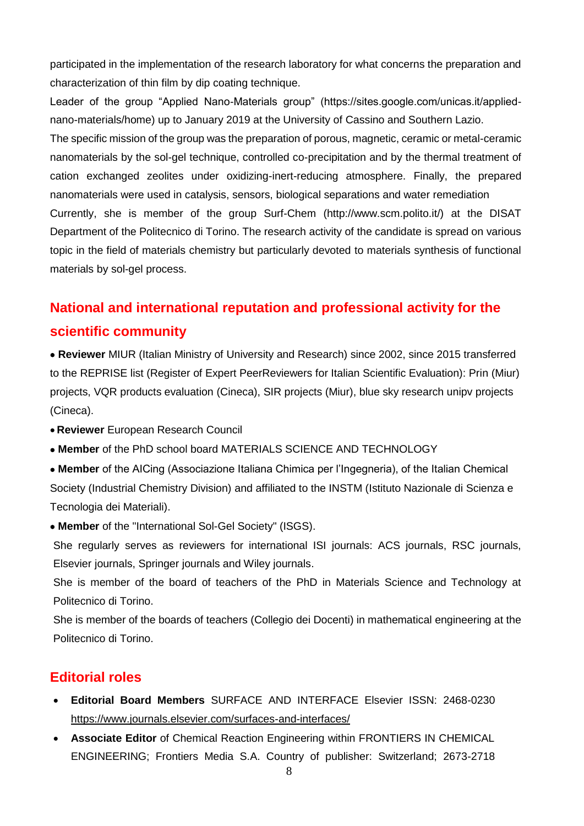participated in the implementation of the research laboratory for what concerns the preparation and characterization of thin film by dip coating technique.

Leader of the group "Applied Nano-Materials group" (https://sites.google.com/unicas.it/appliednano-materials/home) up to January 2019 at the University of Cassino and Southern Lazio.

The specific mission of the group was the preparation of porous, magnetic, ceramic or metal-ceramic nanomaterials by the sol-gel technique, controlled co-precipitation and by the thermal treatment of cation exchanged zeolites under oxidizing-inert-reducing atmosphere. Finally, the prepared nanomaterials were used in catalysis, sensors, biological separations and water remediation Currently, she is member of the group Surf-Chem (http://www.scm.polito.it/) at the DISAT Department of the Politecnico di Torino. The research activity of the candidate is spread on various topic in the field of materials chemistry but particularly devoted to materials synthesis of functional materials by sol-gel process.

# **National and international reputation and professional activity for the scientific community**

• **Reviewer** MIUR (Italian Ministry of University and Research) since 2002, since 2015 transferred to the REPRISE list (Register of Expert PeerReviewers for Italian Scientific Evaluation): Prin (Miur) projects, VQR products evaluation (Cineca), SIR projects (Miur), blue sky research unipv projects (Cineca).

- **Reviewer** European Research Council
- **Member** of the PhD school board [MATERIALS SCIENCE AND TECHNOLOGY](http://dottorato.polito.it/mtm/en/overview)
- **Member** of the AICing (Associazione Italiana Chimica per l'Ingegneria), of the Italian Chemical Society (Industrial Chemistry Division) and affiliated to the INSTM (Istituto Nazionale di Scienza e Tecnologia dei Materiali).
- **Member** of the "International Sol-Gel Society" (ISGS).

She regularly serves as reviewers for international ISI journals: ACS journals, RSC journals, Elsevier journals, Springer journals and Wiley journals.

She is member of the board of teachers of the PhD in Materials Science and Technology at Politecnico di Torino.

She is member of the boards of teachers (Collegio dei Docenti) in mathematical engineering at the Politecnico di Torino.

### **Editorial roles**

- **Editorial Board Members** SURFACE AND INTERFACE Elsevier ISSN: 2468-0230 <https://www.journals.elsevier.com/surfaces-and-interfaces/>
- **Associate Editor** of Chemical Reaction Engineering within FRONTIERS IN CHEMICAL ENGINEERING; Frontiers Media S.A. Country of publisher: Switzerland; 2673-2718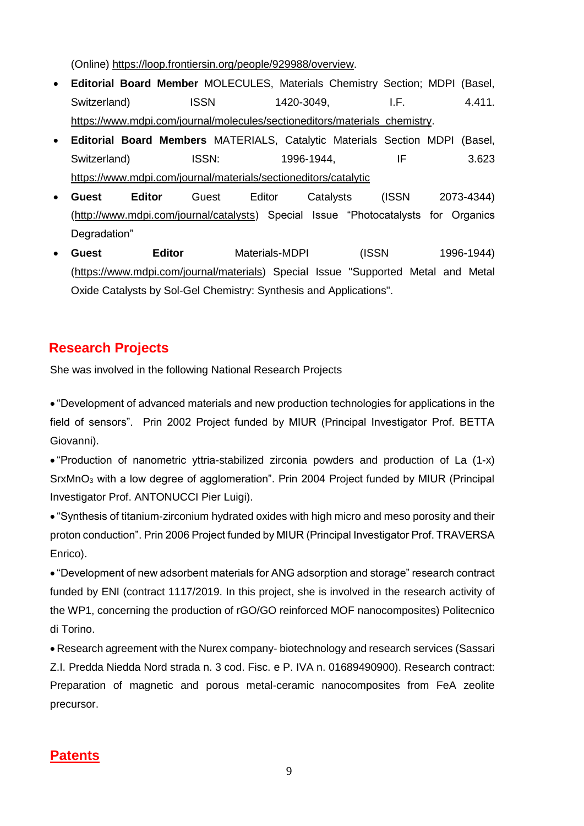(Online) [https://loop.frontiersin.org/people/929988/overview.](https://loop.frontiersin.org/people/929988/overview)

- **Editorial Board Member** MOLECULES, Materials Chemistry Section; MDPI (Basel, Switzerland) ISSN 1420-3049, I.F. 4.411. [https://www.mdpi.com/journal/molecules/sectioneditors/materials\\_chemistry.](https://www.mdpi.com/journal/molecules/sectioneditors/materials_chemistry)
- **Editorial Board Members** MATERIALS, Catalytic Materials Section MDPI (Basel, Switzerland) ISSN: 1996-1944, IF 3.623 <https://www.mdpi.com/journal/materials/sectioneditors/catalytic>
- **Guest Editor** Guest Editor Catalysts (ISSN 2073-4344) [\(http://www.mdpi.com/journal/catalysts\)](http://www.mdpi.com/journal/catalysts) Special Issue "Photocatalysts for Organics Degradation"
- **Guest Editor** Materials-MDPI (ISSN 1996-1944) [\(https://www.mdpi.com/journal/materials\)](https://www.mdpi.com/journal/materials) Special Issue "Supported Metal and Metal Oxide Catalysts by Sol-Gel Chemistry: Synthesis and Applications".

## **Research Projects**

She was involved in the following National Research Projects

• "Development of advanced materials and new production technologies for applications in the field of sensors". Prin 2002 Project funded by MIUR (Principal Investigator Prof. BETTA Giovanni).

• "Production of nanometric yttria-stabilized zirconia powders and production of La (1-x) SrxMnO<sub>3</sub> with a low degree of agglomeration". Prin 2004 Project funded by MIUR (Principal Investigator Prof. ANTONUCCI Pier Luigi).

• "Synthesis of titanium-zirconium hydrated oxides with high micro and meso porosity and their proton conduction". Prin 2006 Project funded by MIUR (Principal Investigator Prof. TRAVERSA Enrico).

• "Development of new adsorbent materials for ANG adsorption and storage" research contract funded by ENI (contract 1117/2019. In this project, she is involved in the research activity of the WP1, concerning the production of rGO/GO reinforced MOF nanocomposites) Politecnico di Torino.

• Research agreement with the Nurex company- biotechnology and research services (Sassari Z.I. Predda Niedda Nord strada n. 3 cod. Fisc. e P. IVA n. 01689490900). Research contract: Preparation of magnetic and porous metal-ceramic nanocomposites from FeA zeolite precursor.

## **Patents**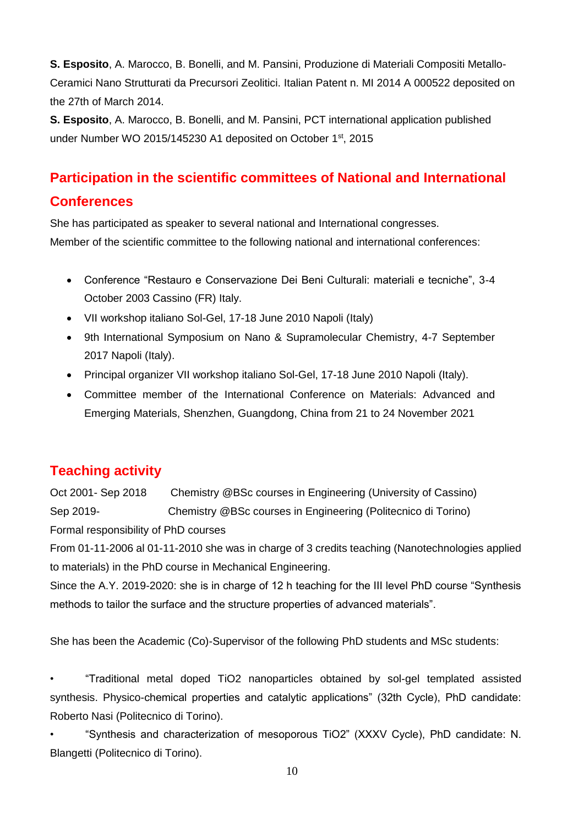**S. Esposito**, A. Marocco, B. Bonelli, and M. Pansini, Produzione di Materiali Compositi Metallo-Ceramici Nano Strutturati da Precursori Zeolitici. Italian Patent n. MI 2014 A 000522 deposited on the 27th of March 2014.

**S. Esposito**, A. Marocco, B. Bonelli, and M. Pansini, PCT international application published under Number WO 2015/145230 A1 deposited on October 1<sup>st</sup>, 2015

# **Participation in the scientific committees of National and International Conferences**

She has participated as speaker to several national and International congresses. Member of the scientific committee to the following national and international conferences:

- Conference "Restauro e Conservazione Dei Beni Culturali: materiali e tecniche", 3-4 October 2003 Cassino (FR) Italy.
- VII workshop italiano Sol-Gel, 17-18 June 2010 Napoli (Italy)
- 9th International Symposium on Nano & Supramolecular Chemistry, 4-7 September 2017 Napoli (Italy).
- Principal organizer VII workshop italiano Sol-Gel, 17-18 June 2010 Napoli (Italy).
- Committee member of the International Conference on Materials: Advanced and Emerging Materials, Shenzhen, Guangdong, China from 21 to 24 November 2021

## **Teaching activity**

Oct 2001- Sep 2018 Chemistry @BSc courses in Engineering (University of Cassino) Sep 2019- Chemistry @BSc courses in Engineering (Politecnico di Torino) Formal responsibility of PhD courses

From 01-11-2006 al 01-11-2010 she was in charge of 3 credits teaching (Nanotechnologies applied to materials) in the PhD course in Mechanical Engineering.

Since the A.Y. 2019-2020: she is in charge of 12 h teaching for the III level PhD course "Synthesis methods to tailor the surface and the structure properties of advanced materials".

She has been the Academic (Co)-Supervisor of the following PhD students and MSc students:

• "Traditional metal doped TiO2 nanoparticles obtained by sol-gel templated assisted synthesis. Physico-chemical properties and catalytic applications" (32th Cycle), PhD candidate: Roberto Nasi (Politecnico di Torino).

• "Synthesis and characterization of mesoporous TiO2" (XXXV Cycle), PhD candidate: N. Blangetti (Politecnico di Torino).